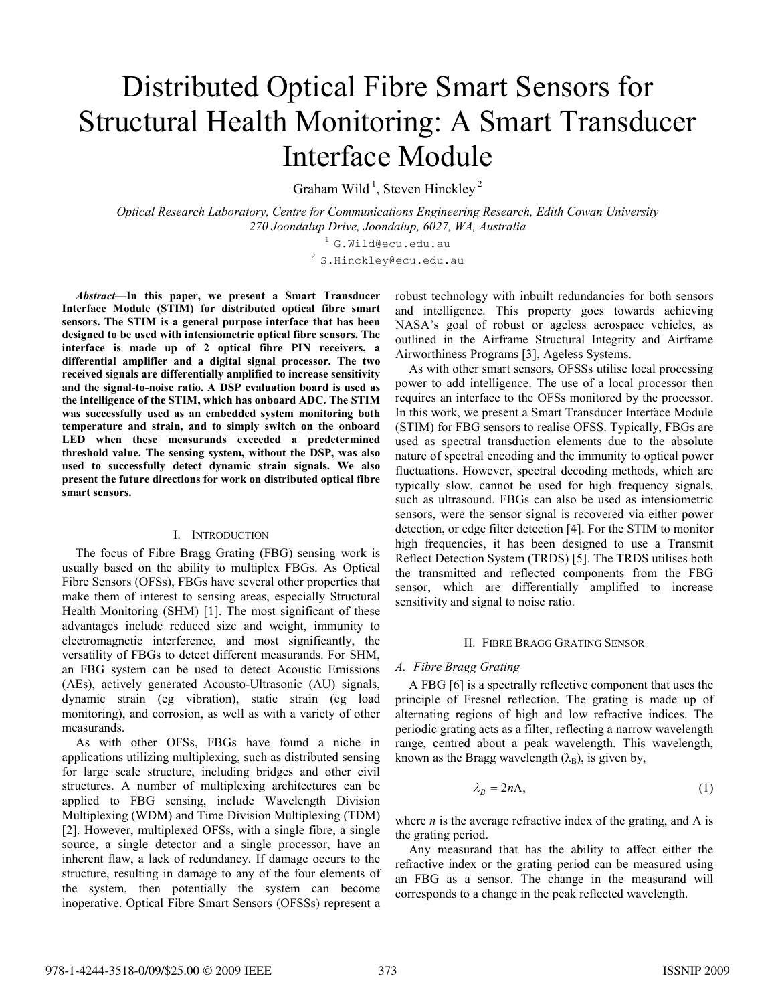# Distributed Optical Fibre Smart Sensors for Structural Health Monitoring: A Smart Transducer Interface Module

Graham Wild<sup>1</sup>, Steven Hinckley<sup>2</sup>

Optical Research Laboratory, Centre for Communications Engineering Research, Edith Cowan University 270 Joondalup Drive, Joondalup, 6027, WA, Australia

 $1$  G.Wild@ecu.edu.au

<sup>2</sup> S.Hinckley@ecu.edu.au

Abstract—In this paper, we present a Smart Transducer Interface Module (STIM) for distributed optical fibre smart sensors. The STIM is a general purpose interface that has been designed to be used with intensiometric optical fibre sensors. The interface is made up of 2 optical fibre PIN receivers, a differential amplifier and a digital signal processor. The two received signals are differentially amplified to increase sensitivity and the signal-to-noise ratio. A DSP evaluation board is used as the intelligence of the STIM, which has onboard ADC. The STIM was successfully used as an embedded system monitoring both temperature and strain, and to simply switch on the onboard LED when these measurands exceeded a predetermined threshold value. The sensing system, without the DSP, was also used to successfully detect dynamic strain signals. We also present the future directions for work on distributed optical fibre smart sensors.

## I. INTRODUCTION

The focus of Fibre Bragg Grating (FBG) sensing work is usually based on the ability to multiplex FBGs. As Optical Fibre Sensors (OFSs), FBGs have several other properties that make them of interest to sensing areas, especially Structural Health Monitoring (SHM) [1]. The most significant of these advantages include reduced size and weight, immunity to electromagnetic interference, and most significantly, the versatility of FBGs to detect different measurands. For SHM, an FBG system can be used to detect Acoustic Emissions (AEs), actively generated Acousto-Ultrasonic (AU) signals, dynamic strain (eg vibration), static strain (eg load monitoring), and corrosion, as well as with a variety of other measurands.

As with other OFSs, FBGs have found a niche in applications utilizing multiplexing, such as distributed sensing for large scale structure, including bridges and other civil structures. A number of multiplexing architectures can be applied to FBG sensing, include Wavelength Division Multiplexing (WDM) and Time Division Multiplexing (TDM) [2]. However, multiplexed OFSs, with a single fibre, a single source, a single detector and a single processor, have an inherent flaw, a lack of redundancy. If damage occurs to the structure, resulting in damage to any of the four elements of the system, then potentially the system can become inoperative. Optical Fibre Smart Sensors (OFSSs) represent a

robust technology with inbuilt redundancies for both sensors and intelligence. This property goes towards achieving NASA's goal of robust or ageless aerospace vehicles, as outlined in the Airframe Structural Integrity and Airframe Airworthiness Programs [3], Ageless Systems.

As with other smart sensors, OFSSs utilise local processing power to add intelligence. The use of a local processor then requires an interface to the OFSs monitored by the processor. In this work, we present a Smart Transducer Interface Module (STIM) for FBG sensors to realise OFSS. Typically, FBGs are used as spectral transduction elements due to the absolute nature of spectral encoding and the immunity to optical power fluctuations. However, spectral decoding methods, which are typically slow, cannot be used for high frequency signals, such as ultrasound. FBGs can also be used as intensiometric sensors, were the sensor signal is recovered via either power detection, or edge filter detection [4]. For the STIM to monitor high frequencies, it has been designed to use a Transmit Reflect Detection System (TRDS) [5]. The TRDS utilises both the transmitted and reflected components from the FBG sensor, which are differentially amplified to increase sensitivity and signal to noise ratio.

## II. FIBRE BRAGG GRATING SENSOR

# A. Fibre Bragg Grating

A FBG [6] is a spectrally reflective component that uses the principle of Fresnel reflection. The grating is made up of alternating regions of high and low refractive indices. The periodic grating acts as a filter, reflecting a narrow wavelength range, centred about a peak wavelength. This wavelength, known as the Bragg wavelength  $(\lambda_B)$ , is given by,

$$
\lambda_B = 2n\Lambda,\tag{1}
$$

where *n* is the average refractive index of the grating, and  $\Lambda$  is the grating period.

Any measurand that has the ability to affect either the refractive index or the grating period can be measured using an FBG as a sensor. The change in the measurand will corresponds to a change in the peak reflected wavelength.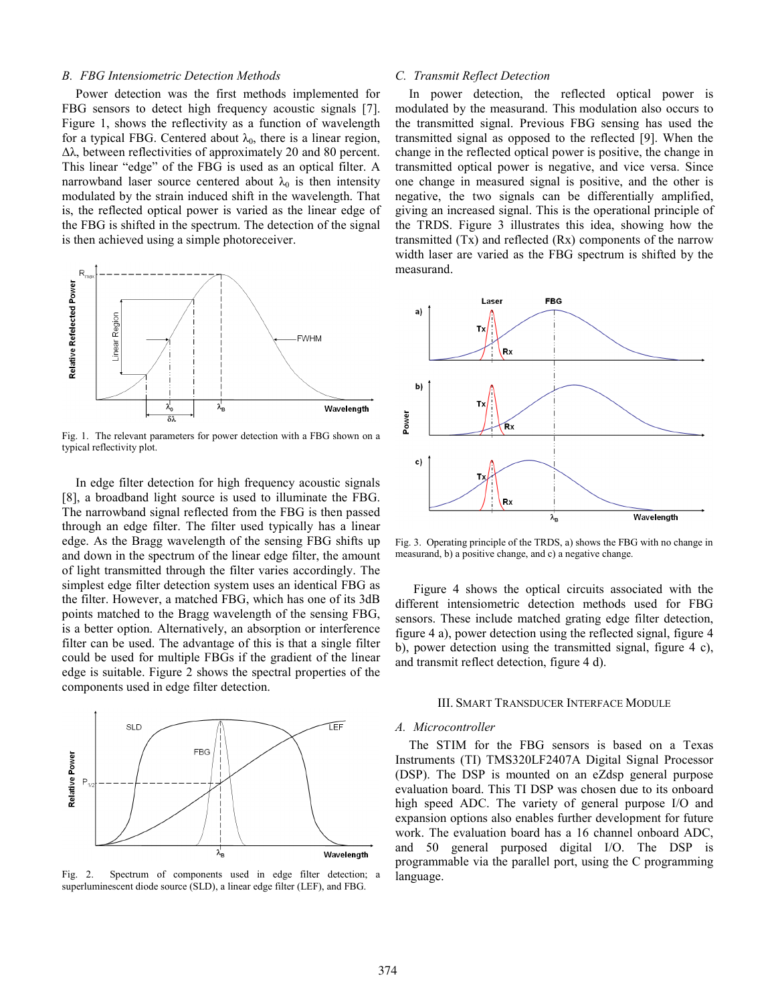## B. FBG Intensiometric Detection Methods

Power detection was the first methods implemented for FBG sensors to detect high frequency acoustic signals [7]. Figure 1, shows the reflectivity as a function of wavelength for a typical FBG. Centered about  $\lambda_0$ , there is a linear region, ∆λ, between reflectivities of approximately 20 and 80 percent. This linear "edge" of the FBG is used as an optical filter. A narrowband laser source centered about  $\lambda_0$  is then intensity modulated by the strain induced shift in the wavelength. That is, the reflected optical power is varied as the linear edge of the FBG is shifted in the spectrum. The detection of the signal is then achieved using a simple photoreceiver.



Fig. 1. The relevant parameters for power detection with a FBG shown on a typical reflectivity plot.

In edge filter detection for high frequency acoustic signals [8], a broadband light source is used to illuminate the FBG. The narrowband signal reflected from the FBG is then passed through an edge filter. The filter used typically has a linear edge. As the Bragg wavelength of the sensing FBG shifts up and down in the spectrum of the linear edge filter, the amount of light transmitted through the filter varies accordingly. The simplest edge filter detection system uses an identical FBG as the filter. However, a matched FBG, which has one of its 3dB points matched to the Bragg wavelength of the sensing FBG, is a better option. Alternatively, an absorption or interference filter can be used. The advantage of this is that a single filter could be used for multiple FBGs if the gradient of the linear edge is suitable. Figure 2 shows the spectral properties of the components used in edge filter detection.



Fig. 2. Spectrum of components used in edge filter detection; a superluminescent diode source (SLD), a linear edge filter (LEF), and FBG.

# C. Transmit Reflect Detection

In power detection, the reflected optical power is modulated by the measurand. This modulation also occurs to the transmitted signal. Previous FBG sensing has used the transmitted signal as opposed to the reflected [9]. When the change in the reflected optical power is positive, the change in transmitted optical power is negative, and vice versa. Since one change in measured signal is positive, and the other is negative, the two signals can be differentially amplified, giving an increased signal. This is the operational principle of the TRDS. Figure 3 illustrates this idea, showing how the transmitted (Tx) and reflected (Rx) components of the narrow width laser are varied as the FBG spectrum is shifted by the measurand.



Fig. 3. Operating principle of the TRDS, a) shows the FBG with no change in measurand, b) a positive change, and c) a negative change.

Figure 4 shows the optical circuits associated with the different intensiometric detection methods used for FBG sensors. These include matched grating edge filter detection, figure 4 a), power detection using the reflected signal, figure 4 b), power detection using the transmitted signal, figure 4 c), and transmit reflect detection, figure 4 d).

# III. SMART TRANSDUCER INTERFACE MODULE

## A. Microcontroller

The STIM for the FBG sensors is based on a Texas Instruments (TI) TMS320LF2407A Digital Signal Processor (DSP). The DSP is mounted on an eZdsp general purpose evaluation board. This TI DSP was chosen due to its onboard high speed ADC. The variety of general purpose I/O and expansion options also enables further development for future work. The evaluation board has a 16 channel onboard ADC, and 50 general purposed digital I/O. The DSP is programmable via the parallel port, using the C programming language.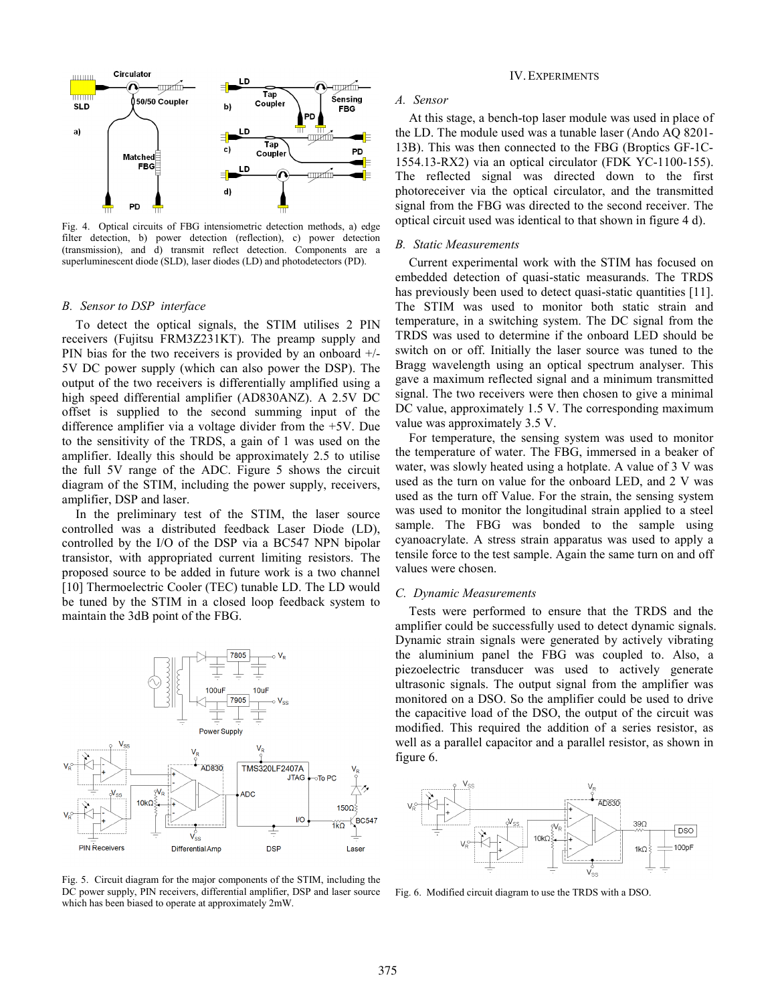

Fig. 4. Optical circuits of FBG intensiometric detection methods, a) edge filter detection, b) power detection (reflection), c) power detection (transmission), and d) transmit reflect detection. Components are a superluminescent diode (SLD), laser diodes (LD) and photodetectors (PD).

## B. Sensor to DSP interface

To detect the optical signals, the STIM utilises 2 PIN receivers (Fujitsu FRM3Z231KT). The preamp supply and PIN bias for the two receivers is provided by an onboard +/- 5V DC power supply (which can also power the DSP). The output of the two receivers is differentially amplified using a high speed differential amplifier (AD830ANZ). A 2.5V DC offset is supplied to the second summing input of the difference amplifier via a voltage divider from the +5V. Due to the sensitivity of the TRDS, a gain of 1 was used on the amplifier. Ideally this should be approximately 2.5 to utilise the full 5V range of the ADC. Figure 5 shows the circuit diagram of the STIM, including the power supply, receivers, amplifier, DSP and laser.

In the preliminary test of the STIM, the laser source controlled was a distributed feedback Laser Diode (LD), controlled by the I/O of the DSP via a BC547 NPN bipolar transistor, with appropriated current limiting resistors. The proposed source to be added in future work is a two channel [10] Thermoelectric Cooler (TEC) tunable LD. The LD would be tuned by the STIM in a closed loop feedback system to maintain the 3dB point of the FBG.



#### Fig. 5. Circuit diagram for the major components of the STIM, including the DC power supply, PIN receivers, differential amplifier, DSP and laser source which has been biased to operate at approximately 2mW.

#### IV.EXPERIMENTS

#### A. Sensor

At this stage, a bench-top laser module was used in place of the LD. The module used was a tunable laser (Ando AQ 8201- 13B). This was then connected to the FBG (Broptics GF-1C-1554.13-RX2) via an optical circulator (FDK YC-1100-155). The reflected signal was directed down to the first photoreceiver via the optical circulator, and the transmitted signal from the FBG was directed to the second receiver. The optical circuit used was identical to that shown in figure 4 d).

# B. Static Measurements

Current experimental work with the STIM has focused on embedded detection of quasi-static measurands. The TRDS has previously been used to detect quasi-static quantities [11]. The STIM was used to monitor both static strain and temperature, in a switching system. The DC signal from the TRDS was used to determine if the onboard LED should be switch on or off. Initially the laser source was tuned to the Bragg wavelength using an optical spectrum analyser. This gave a maximum reflected signal and a minimum transmitted signal. The two receivers were then chosen to give a minimal DC value, approximately 1.5 V. The corresponding maximum value was approximately 3.5 V.

For temperature, the sensing system was used to monitor the temperature of water. The FBG, immersed in a beaker of water, was slowly heated using a hotplate. A value of 3 V was used as the turn on value for the onboard LED, and 2 V was used as the turn off Value. For the strain, the sensing system was used to monitor the longitudinal strain applied to a steel sample. The FBG was bonded to the sample using cyanoacrylate. A stress strain apparatus was used to apply a tensile force to the test sample. Again the same turn on and off values were chosen.

# C. Dynamic Measurements

Tests were performed to ensure that the TRDS and the amplifier could be successfully used to detect dynamic signals. Dynamic strain signals were generated by actively vibrating the aluminium panel the FBG was coupled to. Also, a piezoelectric transducer was used to actively generate ultrasonic signals. The output signal from the amplifier was monitored on a DSO. So the amplifier could be used to drive the capacitive load of the DSO, the output of the circuit was modified. This required the addition of a series resistor, as well as a parallel capacitor and a parallel resistor, as shown in figure 6.



Fig. 6. Modified circuit diagram to use the TRDS with a DSO.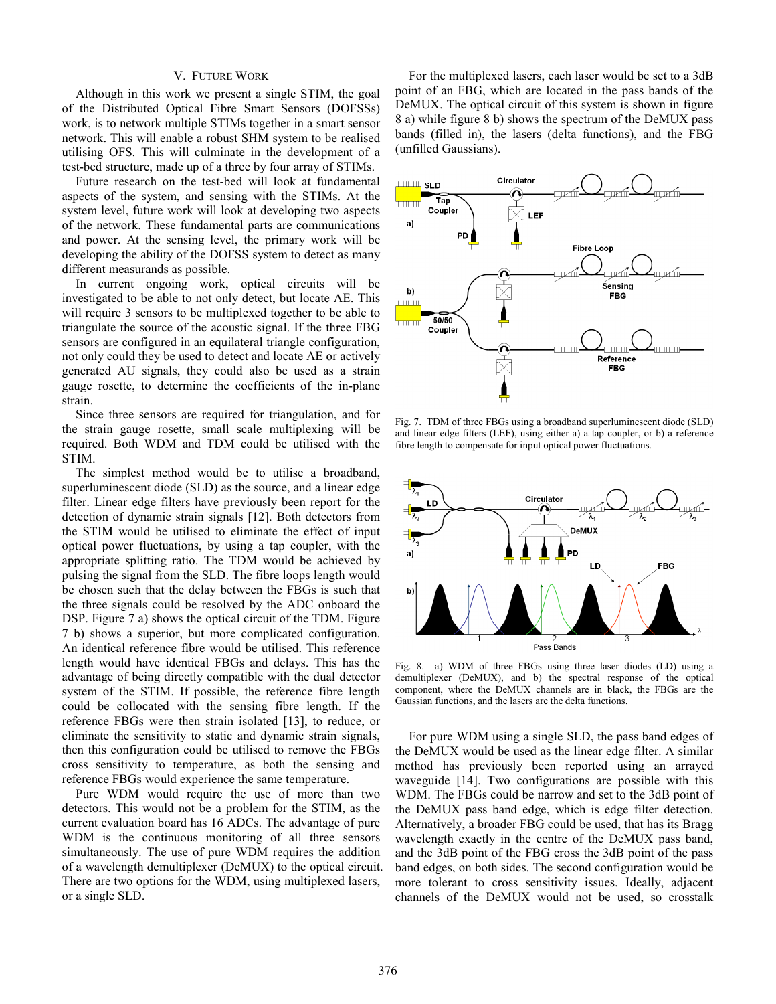## V. FUTURE WORK

Although in this work we present a single STIM, the goal of the Distributed Optical Fibre Smart Sensors (DOFSSs) work, is to network multiple STIMs together in a smart sensor network. This will enable a robust SHM system to be realised utilising OFS. This will culminate in the development of a test-bed structure, made up of a three by four array of STIMs.

Future research on the test-bed will look at fundamental aspects of the system, and sensing with the STIMs. At the system level, future work will look at developing two aspects of the network. These fundamental parts are communications and power. At the sensing level, the primary work will be developing the ability of the DOFSS system to detect as many different measurands as possible.

In current ongoing work, optical circuits will be investigated to be able to not only detect, but locate AE. This will require 3 sensors to be multiplexed together to be able to triangulate the source of the acoustic signal. If the three FBG sensors are configured in an equilateral triangle configuration, not only could they be used to detect and locate AE or actively generated AU signals, they could also be used as a strain gauge rosette, to determine the coefficients of the in-plane strain.

Since three sensors are required for triangulation, and for the strain gauge rosette, small scale multiplexing will be required. Both WDM and TDM could be utilised with the STIM.

The simplest method would be to utilise a broadband, superluminescent diode (SLD) as the source, and a linear edge filter. Linear edge filters have previously been report for the detection of dynamic strain signals [12]. Both detectors from the STIM would be utilised to eliminate the effect of input optical power fluctuations, by using a tap coupler, with the appropriate splitting ratio. The TDM would be achieved by pulsing the signal from the SLD. The fibre loops length would be chosen such that the delay between the FBGs is such that the three signals could be resolved by the ADC onboard the DSP. Figure 7 a) shows the optical circuit of the TDM. Figure 7 b) shows a superior, but more complicated configuration. An identical reference fibre would be utilised. This reference length would have identical FBGs and delays. This has the advantage of being directly compatible with the dual detector system of the STIM. If possible, the reference fibre length could be collocated with the sensing fibre length. If the reference FBGs were then strain isolated [13], to reduce, or eliminate the sensitivity to static and dynamic strain signals, then this configuration could be utilised to remove the FBGs cross sensitivity to temperature, as both the sensing and reference FBGs would experience the same temperature.

Pure WDM would require the use of more than two detectors. This would not be a problem for the STIM, as the current evaluation board has 16 ADCs. The advantage of pure WDM is the continuous monitoring of all three sensors simultaneously. The use of pure WDM requires the addition of a wavelength demultiplexer (DeMUX) to the optical circuit. There are two options for the WDM, using multiplexed lasers, or a single SLD.

For the multiplexed lasers, each laser would be set to a 3dB point of an FBG, which are located in the pass bands of the DeMUX. The optical circuit of this system is shown in figure 8 a) while figure 8 b) shows the spectrum of the DeMUX pass bands (filled in), the lasers (delta functions), and the FBG (unfilled Gaussians).



Fig. 7. TDM of three FBGs using a broadband superluminescent diode (SLD) and linear edge filters (LEF), using either a) a tap coupler, or b) a reference fibre length to compensate for input optical power fluctuations.



Fig. 8. a) WDM of three FBGs using three laser diodes (LD) using a demultiplexer (DeMUX), and b) the spectral response of the optical component, where the DeMUX channels are in black, the FBGs are the Gaussian functions, and the lasers are the delta functions.

For pure WDM using a single SLD, the pass band edges of the DeMUX would be used as the linear edge filter. A similar method has previously been reported using an arrayed waveguide [14]. Two configurations are possible with this WDM. The FBGs could be narrow and set to the 3dB point of the DeMUX pass band edge, which is edge filter detection. Alternatively, a broader FBG could be used, that has its Bragg wavelength exactly in the centre of the DeMUX pass band, and the 3dB point of the FBG cross the 3dB point of the pass band edges, on both sides. The second configuration would be more tolerant to cross sensitivity issues. Ideally, adjacent channels of the DeMUX would not be used, so crosstalk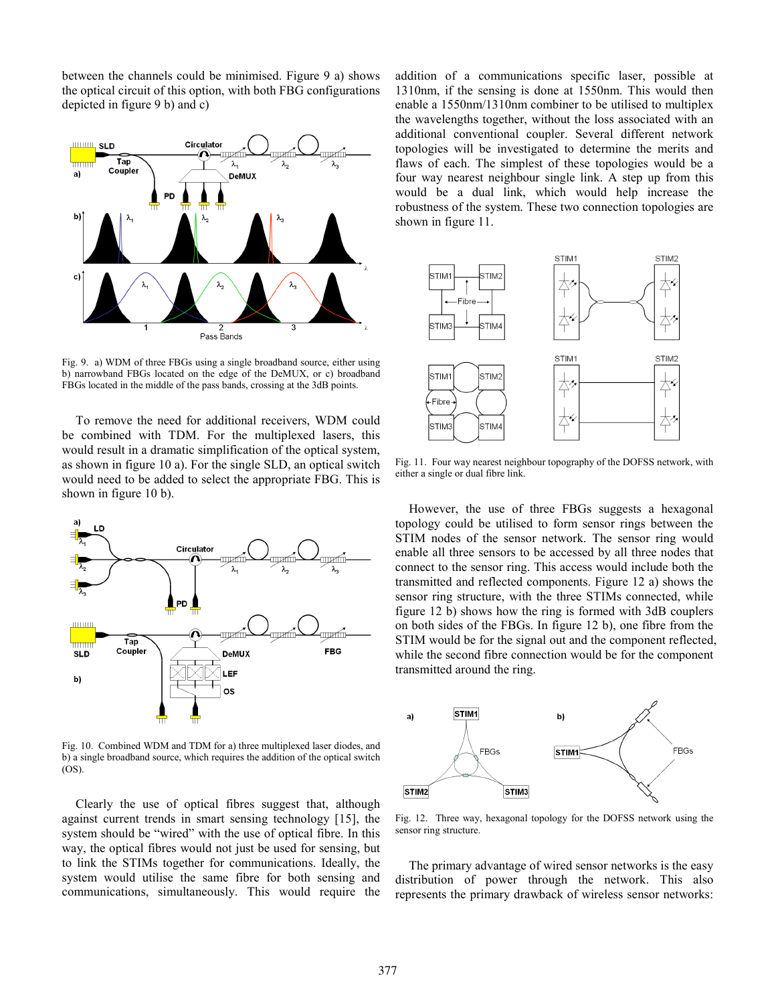between the channels could be minimised. Figure 9 a) shows the optical circuit of this option, with both FBG configurations depicted in figure 9 b) and c)



Fig. 9. a) WDM of three FBGs using a single broadband source, either using b) narrowband FBGs located on the edge of the DeMUX, or c) broadband FBGs located in the middle of the pass bands, crossing at the 3dB points.

To remove the need for additional receivers, WDM could be combined with TDM. For the multiplexed lasers, this would result in a dramatic simplification of the optical system, as shown in figure 10 a). For the single SLD, an optical switch would need to be added to select the appropriate FBG. This is shown in figure 10 b).



Fig. 10. Combined WDM and TDM for a) three multiplexed laser diodes, and b) a single broadband source, which requires the addition of the optical switch (OS).

Clearly the use of optical fibres suggest that, although against current trends in smart sensing technology [15], the system should be "wired" with the use of optical fibre. In this way, the optical fibres would not just be used for sensing, but to link the STIMs together for communications. Ideally, the system would utilise the same fibre for both sensing and communications, simultaneously. This would require the addition of a communications specific laser, possible at 1310nm, if the sensing is done at 1550nm. This would then enable a 1550nm/1310nm combiner to be utilised to multiplex the wavelengths together, without the loss associated with an additional conventional coupler. Several different network topologies will be investigated to determine the merits and flaws of each. The simplest of these topologies would be a four way nearest neighbour single link. A step up from this would be a dual link, which would help increase the robustness of the system. These two connection topologies are shown in figure 11.



Fig. 11. Four way nearest neighbour topography of the DOFSS network, with either a single or dual fibre link.

However, the use of three FBGs suggests a hexagonal topology could be utilised to form sensor rings between the STIM nodes of the sensor network. The sensor ring would enable all three sensors to be accessed by all three nodes that connect to the sensor ring. This access would include both the transmitted and reflected components. Figure 12 a) shows the sensor ring structure, with the three STIMs connected, while figure 12 b) shows how the ring is formed with 3dB couplers on both sides of the FBGs. In figure 12 b), one fibre from the STIM would be for the signal out and the component reflected, while the second fibre connection would be for the component transmitted around the ring.



Fig. 12. Three way, hexagonal topology for the DOFSS network using the sensor ring structure.

The primary advantage of wired sensor networks is the easy distribution of power through the network. This also represents the primary drawback of wireless sensor networks: